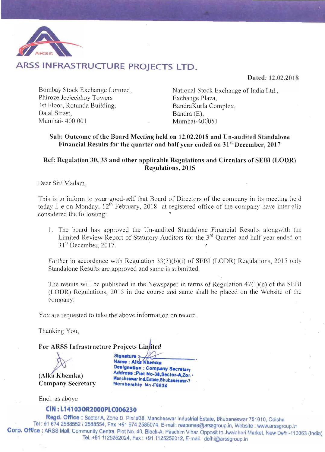

## ARSS INFRASTRUCTURE PROJECTS LTD.

Dated: 12.02.2018

Bombay Stock Exchange Limited, Phiroze Jeejeebhoy Towers 1st Floor, Rotunda Building, Dalal Street, Mumbai-400 001

National Stock Exchange of India Ltd., Exchange Plaza, BandraKurla Complex, Bandra (E).  $Mumbai-400051$ 

## Sub: Outcome of the Board Meeting held on 12.02.2018 and Un-audited Standalone Financial Results for the quarter and half year ended on 31<sup>st</sup> December, 2017

## Ref: Regulation 30, 33 and other applicable Regulations and Circulars of SEBI (LODR) **Regulations, 2015**

Dear Sir/Madam,

This is to inform to your good-self that Board of Directors of the company in its meeting held today i. e on Monday,  $12^{th}$  February, 2018 at registered office of the company have inter-alia considered the following:

1. The board has approved the Un-audited Standalone Financial Results alongwith the Limited Review Report of Statutory Auditors for the 3<sup>rd</sup> Quarter and half year ended on  $31<sup>st</sup>$  December, 2017.

Further in accordance with Regulation 33(3)(b)(i) of SEBI (LODR) Regulations, 2015 only Standalone Results are approved and same is submitted.

The results will be published in the Newspaper in terms of Regulation  $47(1)(b)$  of the SEBI (LODR) Regulations, 2015 in due course and same shall be placed on the Website of the company.

You are requested to take the above information on record.

Thanking You,

For ARSS Infrastructure Projects Limited

(Alka Khemka) **Company Secretary** 

Signature : Name : Alka Khemka Designation : Company Secretary Address :Plet No-38, Sector-A, Zor .-Mancheswar Ind.Estate, Bhubaneswar-71 Membership No-F6838

Encl: as above

## CIN: L14103OR2000PLC006230

Regd. Office: Sector A, Zone D, Plot #38, Mancheswar Industrial Estate, Bhubaneswar 751010, Odisha Tel: 91 674 2588552 / 2588554, Fax:+91 674 2585074, E-mail: response@arssgroup.in, Website: www.arssgroup.in Corp. Office : ARSS Mall, Community Centre, Plot No. 40, Block-A, Paschim Vihar, Opposit to Jwalaheri Market, New Delhi-110063 (India) Tel.:+91 1125252024, Fax: +91 1125252012, E-mail: delhi@arssgroup.in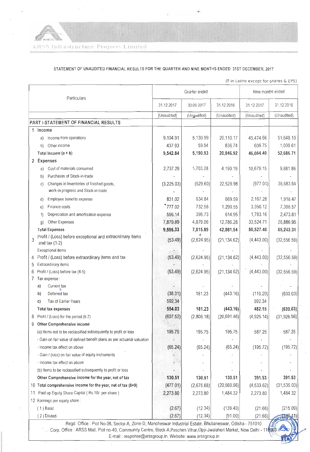$\mathscr{R}$  $APEE$ ARSS Infrastructure Projects Limited

 $\ddot{\phantom{a}}$ 

#### STATEMENT OF UNAUDITED FINANCIAL RESULTS FOR THE QUARTER AND NINE MONTHS ENDED 31ST DECEMBER, 2017

(₹ in Lakhs except for shares & EPS)

|                                                                                                                                                                                                                                                                                                 |                                                                                        | Quarter ended |             |              | Nine months ended |               |  |  |
|-------------------------------------------------------------------------------------------------------------------------------------------------------------------------------------------------------------------------------------------------------------------------------------------------|----------------------------------------------------------------------------------------|---------------|-------------|--------------|-------------------|---------------|--|--|
| Particulars                                                                                                                                                                                                                                                                                     |                                                                                        | 31.12.2017    | 30.09.2017  | 31.12.2016   | 31.12.2017        | 31.12.2016    |  |  |
|                                                                                                                                                                                                                                                                                                 |                                                                                        | (Unaudited)   | (Ungudited) | (Unaudited)  | (Unaudited)       | (Unaudited)   |  |  |
|                                                                                                                                                                                                                                                                                                 | PART I-STATEMENT OF FINANCIAL RESULTS                                                  |               |             |              |                   |               |  |  |
|                                                                                                                                                                                                                                                                                                 | 1 Income                                                                               |               |             |              |                   |               |  |  |
|                                                                                                                                                                                                                                                                                                 | Income from operations<br>a)                                                           | 9,104.91      | 5,130.99    | 20,110.17    | 45,474.66         | 51,648.10     |  |  |
|                                                                                                                                                                                                                                                                                                 | Other income<br>b)                                                                     | 437.93        | 59.94       | 836.74       | 609.75            | 1,038.61      |  |  |
|                                                                                                                                                                                                                                                                                                 | Total Income $(a + b)$                                                                 | 9,542.84      | 5,190.93    | 20,946.92    | 46,084.40         | 52,686.71     |  |  |
|                                                                                                                                                                                                                                                                                                 | 2 Expenses                                                                             |               |             |              |                   |               |  |  |
|                                                                                                                                                                                                                                                                                                 | Cost of materials consumed<br>a)                                                       | 2,737.29      | 1,703.28    | 4,190.19     | 10,679.15         | 9,881.86      |  |  |
|                                                                                                                                                                                                                                                                                                 | Purchases of Stock-in-trade<br>b)                                                      |               |             |              |                   |               |  |  |
|                                                                                                                                                                                                                                                                                                 | Changes in Inventories of finished goods,<br>C)<br>work-in-progress and Stock-in-trade | (3,225.03)    | (529.60)    | 22,529.98    | (977.01)          | 36,683.64     |  |  |
|                                                                                                                                                                                                                                                                                                 | Employee benefits expense<br>d)                                                        | 831.02        | 634.84      | 669.59       | 2,167.28          | 1,918.47      |  |  |
|                                                                                                                                                                                                                                                                                                 | Finance costs<br>e)                                                                    | 777.02        | 732.58      | 1,290.55     | 3,350.12          | 7,398.57      |  |  |
|                                                                                                                                                                                                                                                                                                 | Depreciation and amortisation expense<br>f)                                            | 596.14        | 395.73      | 614.95       | 1,783.16          | 2,473.81      |  |  |
|                                                                                                                                                                                                                                                                                                 | Other Expenses<br>g)                                                                   | 7,879.89      | 4,879.06    | 12,786.28    | 33,524.71         | 26,886.95     |  |  |
|                                                                                                                                                                                                                                                                                                 | <b>Total Expenses</b>                                                                  | 9,596.33      | 7,815.89    | 42,081.54    | 50,527.40         | 85,243.31     |  |  |
| 3                                                                                                                                                                                                                                                                                               | Profit / (Loss) before exceptional and extraordinary items<br>and tax $(1-2)$          | (53.49)       | (2,624.95)  | (21, 134.62) | (4,443.00)        | (32, 556.59)  |  |  |
|                                                                                                                                                                                                                                                                                                 | Exceptional items                                                                      |               |             |              |                   |               |  |  |
| 4                                                                                                                                                                                                                                                                                               | Profit / (Loss) before extraordinary items and tax                                     | (53.49)       | (2,624.95)  | (21, 134.62) | (4,443.00)        | (32, 556.59)  |  |  |
| 5                                                                                                                                                                                                                                                                                               | Extraordinary items                                                                    |               |             |              |                   |               |  |  |
|                                                                                                                                                                                                                                                                                                 | Profit / (Loss) before tax (4-5)                                                       | (53.49)       | (2,624.95)  | (21, 134.62) | (4,443.00)        | (32, 556.59)  |  |  |
|                                                                                                                                                                                                                                                                                                 | Tax expense :                                                                          |               |             |              |                   |               |  |  |
|                                                                                                                                                                                                                                                                                                 | Current tax<br>a)                                                                      |               |             |              |                   |               |  |  |
|                                                                                                                                                                                                                                                                                                 | Deferred tax<br>b)                                                                     | (38.31)       | 181.23      | (443.16)     | (110.20)          | (630.03)      |  |  |
|                                                                                                                                                                                                                                                                                                 | Tax of Earlier Years<br>C)                                                             | 592.34        |             |              | 592.34            |               |  |  |
|                                                                                                                                                                                                                                                                                                 | Total tax expenses                                                                     | 554.03        | 181.23      | (443.16)     | 482.15            | (630.03)      |  |  |
| 8                                                                                                                                                                                                                                                                                               | Profit / (Loss) for the period (6-7)                                                   | (607.52)      | (2,806.18)  | (20, 691.46) | (4,925.14)        | (31, 926.56)  |  |  |
| 9                                                                                                                                                                                                                                                                                               | Other Comprehensive income                                                             |               |             |              |                   |               |  |  |
|                                                                                                                                                                                                                                                                                                 | (a) Items not to be reclassified subsequently to profit or loss                        | 195.75        | 195.75      | 195.75       | 587.25            | 587.25        |  |  |
|                                                                                                                                                                                                                                                                                                 | - Gain on fair value of defined benefit plans as per actuarial valuation               |               |             |              |                   |               |  |  |
|                                                                                                                                                                                                                                                                                                 | - Income tax effect on above                                                           | (65.24)       | (65.24)     | (65.24)      | (195.72)          | (195.72)      |  |  |
|                                                                                                                                                                                                                                                                                                 | - Gain / (loss) on fair value of equity instruments                                    |               |             |              |                   |               |  |  |
|                                                                                                                                                                                                                                                                                                 | - Income tax effect on above                                                           |               |             |              |                   |               |  |  |
|                                                                                                                                                                                                                                                                                                 | (b) Items to be reclassified subsequently to profit or loss                            |               |             |              |                   |               |  |  |
|                                                                                                                                                                                                                                                                                                 | Other Comprehensive income for the year, net of tax                                    | 130.51        | 130.51      | 130.51       | 391.53            | 391.53        |  |  |
| 10                                                                                                                                                                                                                                                                                              | Total comprehensive income for the year, net of tax $(8+9)$                            | (477.01)      | (2,675.68)  | (20, 560.96) | (4, 533.62)       | (31, 535.03)  |  |  |
| 11                                                                                                                                                                                                                                                                                              | Paid up Equity Share Capital (Rs.10/- per share)                                       | 2,273.80      | 2,273.80    | 1,484.32     | 2,273.80          | 1,484.32      |  |  |
|                                                                                                                                                                                                                                                                                                 | 12 Earnings per equity share:                                                          |               |             |              |                   |               |  |  |
|                                                                                                                                                                                                                                                                                                 | $(1)$ Basic                                                                            | (2.67)        | (12.34)     | (139.40)     | (21.66)           | (215.09)      |  |  |
|                                                                                                                                                                                                                                                                                                 | (2) Diluted                                                                            | (2.67)        | (12.34)     | (91.00)      | (21.66)           | <b>TUNITA</b> |  |  |
| Regd. Office : Plot No-38, Sector-A, Zone-D, Mancheswar Industrial Estate, Bhubaneswar, Odisha - 751010<br>Corp. Office : ARSS Mall, Plot no-40, Community Centre, Block-A, Paschim Vihar, Opp-Jwalaheri Market, New Delhi - 110083<br>E-mail: response@arssgroup.in, Website: www.arssgroup.in |                                                                                        |               |             |              |                   |               |  |  |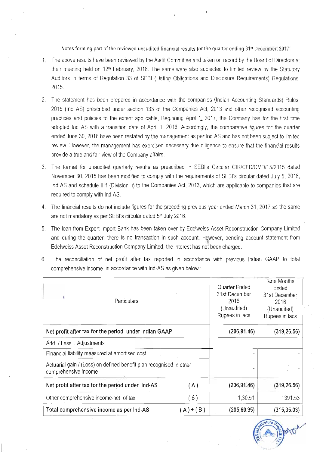#### Notes forming part of the reviewed unaudited financial results for the quarter ending 31<sup>st</sup> December, 2017

- 1. The above results have been reviewed by the Audit Committee and taken on record by the Board of Directors at their meeting held on 12<sup>th</sup> February, 2018. The same were also subjected to limited review by the Statutory Auditors in terms of Regulation 33 of SEBI (Listing Obligations and Disclosure Requirements) Regulations, 2015.
- 2. The statement has been prepared in accordance with the companies (Indian Accounting Standards) Rules, 2015 (Ind AS) prescribed under section 133 of the Companies Act, 2013 and other recognised accounting practices and policies to the extent applicable, Beginning April 1, 2017, the Company has for the first time adopted Ind AS with a transition date of April 1, 2016. Accordingly, the comparative figures for the quarter ended June 30, 2016 have been restated by the management as per Ind AS and has not been subject to limited review. However, the management has exercised necessary due diligence to ensure that the financial results provide a true and fair view of the Company affairs.
- 3. The format for unaudited quarterly results as prescribed in SEBI's Circular CIR/CFD/CMD/15/2015 dated November 30, 2015 has been modified to comply with the requirements of SEBI's circular dated July 5, 2016, Ind AS and schedule III1 (Division II) to the Companies Act, 2013, which are applicable to companies that are required to comply with Ind AS.
- 4. The financial results do not include figures for the preceding previous year ended March 31, 2017 as the same are not mandatory as per SEBI's circular dated 5<sup>th</sup> July 2016.
- 5. The loan from Export Import Bank has been taken over by Edelweiss Asset Reconstruction Company Limited and during the quarter, there is no transaction in such account. However, pending account statement from Edelweiss Asset Reconstruction Company Limited, the interest has not been charged.
- 6. The reconciliation of net profit after tax reported in accordance with previous Indian GAAP to total comprehensive income in accordance with Ind-AS as given below :

|                                                       | Particulars                                                         |           | Quarter Ended<br>31st December<br>2016<br>(Unaudited)<br>Rupees in lacs | Nine Months<br>Ended<br>31st December<br>2016<br>(Unaudited)<br>Rupees in lacs |
|-------------------------------------------------------|---------------------------------------------------------------------|-----------|-------------------------------------------------------------------------|--------------------------------------------------------------------------------|
| Net profit after tax for the period under Indian GAAP |                                                                     |           | (206, 91.46)                                                            | (319, 26.56)                                                                   |
| Add / Less : Adjustments                              |                                                                     |           |                                                                         |                                                                                |
|                                                       | Financial liability measured at amortised cost                      |           |                                                                         |                                                                                |
| comprehensive income                                  | Actuarial gain / (Loss) on defined benefit plan recognised in other |           |                                                                         |                                                                                |
|                                                       | Net profit after tax for the period under Ind-AS                    | (A)       | (206, 91.46)                                                            | (319, 26.56)                                                                   |
|                                                       | Other comprehensive income net of tax                               | (B)       | 1,30.51                                                                 | 391.53                                                                         |
|                                                       | Total comprehensive income as per Ind-AS                            | $(A)+(B)$ | (205, 60.95)                                                            | (315, 35.03)                                                                   |

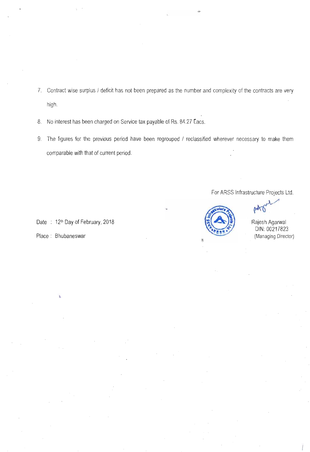- 7. Contract wise surplus / deficit has not been prepared as the number and complexity of the contracts are very high.
- 8. No interest has been charged on Service tax payable of Rs. 84.27 Lacs.
- 9. The figures for the previous period have been regrouped / reclassified wherever necessary to make them comparable with that of current period.

For ARSS Infrastructure Projects Ltd.



Rajesh Agarwal DIN: 00217823 (Managing Director)

Date: 12th Day of February, 2018

Place: Bhubaneswar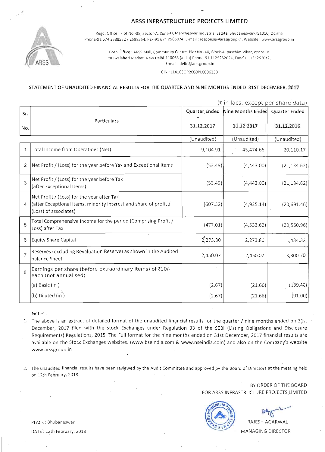### ARSS INFRASTRUCTURE PROJECTS LIMITED



Regd. Office : Piot No.-38, Sector-A, Zone-D, Mancheswar Industrial Estate, Bhubaneswar-751010, Odisha Phone-91 674 2588552 / 2588554, Fax-91 674 2585074, E-mail : response@arssgroup.in, Website : www.arssgroup.in

> Corp. Office: ARSS Mall, Community Centre, Plot No.-40, Block-A, paschim Vihar, opposite to Jwalaheri Market, New Delhi-110063 (India) Phone-91 1125252024, Fax-91 1125252012, E-mail: delhi@arssgroup.in

> > CIN: L14103OR2000PLC006230

#### STATEMENT OF UNAUDITED FINANCIAL RESULTS FOR THE QUARTER AND NINE MONTHS ENDED 31ST DECEMBER. 2017

|                | (र in lacs, except per share data)                                                                                                       |               |                                 |              |  |  |
|----------------|------------------------------------------------------------------------------------------------------------------------------------------|---------------|---------------------------------|--------------|--|--|
| Sr.            |                                                                                                                                          | Quarter Ended | Nine Months Ended Quarter Ended |              |  |  |
| No.            | Particulars                                                                                                                              | 31.12.2017    | 31.12.2017                      | 31.12.2016   |  |  |
|                |                                                                                                                                          | (Unaudited)   | (Unaudited)                     | (Unaudited)  |  |  |
| 1              | Total Income from Operations (Net)                                                                                                       | 9,104.91      | 45,474.66                       | 20,110.17    |  |  |
| 2              | Net Profit / (Loss) for the year before Tax and Exceptional Items                                                                        | (53.49)       | (4,443.00)                      | (21, 134.62) |  |  |
| 3              | Net Profit / (Loss) for the year before Tax<br>(after Exceptional Items)                                                                 | (53.49)       | (4,443.00)                      | (21, 134.62) |  |  |
| 4              | Net Profit / (Loss) for the year after Tax<br>(after Exceptional Items, minority interest and share of profit /<br>(Loss) of associates) | (607.52)      | (4,925.14)                      | (20,691.46)  |  |  |
| 5              | Total Comprehensive Income for the period (Comprising Profit /<br>Loss) after Tax                                                        | (477.01)      | (4,533.62)                      | (20, 560.96) |  |  |
| 6              | <b>Equity Share Capital</b>                                                                                                              | 2,273.80      | 2,273.80                        | 1,484.32     |  |  |
| $\overline{7}$ | Reserves (excluding Revaluation Reserve) as shown in the Audited<br>balance Sheet                                                        | 2,450.07      | 2,450.07                        | 3,300.70     |  |  |
| 8              | Earnings per share (before Extraordinary items) of ₹10/-<br>each (not annualised)                                                        |               |                                 |              |  |  |
|                | (a) Basic (in)                                                                                                                           | (2.67)        | (21.66)                         | (139.40)     |  |  |
|                | (b) Diluted (in)                                                                                                                         | (2.67)        | (21.66)                         | (91.00)      |  |  |

Notes:

1. The above is an extract of detailed format of the unaudited financial results for the quarter / nine months ended on 31st December, 2017 filed with the stock Exchanges under Regulation 33 of the SEBI (Listing Obligations and Disclosure Requirements) Regulations, 2015. The Full format for the nine months ended on 31st December, 2017 financial results are available on the Stock Exchanges websites. (www.bseindia.com & www.nseindia.com) and also on the Company's website www.arssgroup.in

2. The unaudited financial results have been reviewed by the Audit Committee and approved by the Board of Directors at the meeting held on 12th February, 2018.

> BY ORDER OF THE BOARD FOR ARSS INFRASTRUCTURE PROJECTS LIMITED



RAJESH AGARWAL **MANAGING DIRECTOR** 

PLACE: Bhubaneswar DATE: 12th February, 2018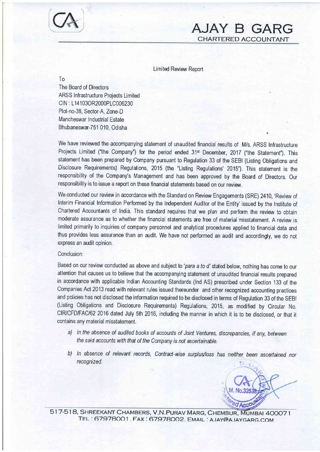

CHARTERED ACCOUNTANT

CA AJAY B GARG

The Board of Directors ARSS Infrastructure Projects Limited CIN : L14103OR2000PLC006230 Plot-no-38, Sector-A, Zone-D Mancheswar Industrial Estate Bhubaneswar-7S1 010, Odisha

To

We have reviewed the accompanying statement of unaudited financial results of M/s. ARSS Infrastructure Projects Limited ("the Company") for the period ended 31<sup>st</sup> December, 2017 ("the Statement"). This statement has been prepared by Company pursuant to Regulation 33 of the SEBI (Listing Obligations and Disclosure Requirements) Regulations,2015 (the "Listing Regulations'2015'). This statement is the responsibility of the Company's Management and has been approved by the Board of Directors, Our responsibility is to issue a report on these financial statements based on our review,

We conducted our review in accordance with the Standard on Review Engagements (SRE) 2410, 'Review of Interim Financial Information Performed by the Independent Auditor of the Entity' issued by the Institute of Chartered Accountants of India, This standard requires that we plan and perform the review to obtain moderate assurance as to whether the financial statements are free of material misstatement, A review is limited primarily to inquiries of company personnel and analytical procedures applied to financial data and thus provides less assurance than an audit, We have not performed an audit and accordingly, we do not express an audit opinion,

#### Conclusion:

Based on our review conducted as above and subject to 'para a to d' stated below, nothing has come to our attention that causes us to believe that the accompanying statement of unaudited financial results prepared in accordance with applicable Indian Accounting Standards (lnd AS) prescribed under Section 133 of the Companies Act 2013 read with relevant rules issued thereunder and other recognized accounting practices and policies has not disclosed the information required to be disclosed in terms of Regulation 33 of the SEBI (Listing Obligations and Disclosure Requirements) Regulations, 2015, as modified by Circular No, CIR/CFD/FAC/62 2016 dated July 5th 2016, including the manner in which it is to be disclosed, or that it contains any material misstatement,

- a) ln the absence of audited books of accounts of Joint Ventures, discrepancies, if any, between the said accounts with that of the Company is not ascertainable.
- b) In absence of relevant records, Contract-wise surplus/loss has neither been ascertained nor recognized,



517-518, SHREEKANT CHAMBERS, V.N.PURAV MARG, CHEMBUR, MUMBAI 400071 TEL: 67978001. FAX: 67978002. EMAIL: AJAY@AJAYGARG.COM